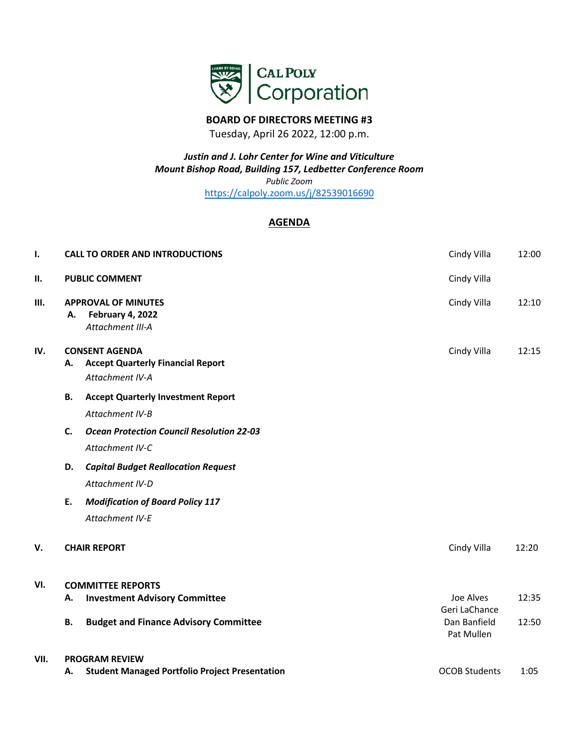

## **BOARD OF DIRECTORS MEETING #3**

Tuesday, April 26 2022, 12:00 p.m.

*Justin and J. Lohr Center for Wine and Viticulture Mount Bishop Road, Building 157, Ledbetter Conference Room Public Zoom* <https://calpoly.zoom.us/j/82539016690>

## **AGENDA**

| ı.   |                          | <b>CALL TO ORDER AND INTRODUCTIONS</b>                                               | Cindy Villa                | 12:00 |  |  |
|------|--------------------------|--------------------------------------------------------------------------------------|----------------------------|-------|--|--|
| П.   |                          | <b>PUBLIC COMMENT</b>                                                                | Cindy Villa                |       |  |  |
| Ш.   | А.                       | <b>APPROVAL OF MINUTES</b><br>February 4, 2022<br>Attachment III-A                   | Cindy Villa                | 12:10 |  |  |
| IV.  | А.                       | <b>CONSENT AGENDA</b><br><b>Accept Quarterly Financial Report</b><br>Attachment IV-A | Cindy Villa                | 12:15 |  |  |
|      | В.                       | <b>Accept Quarterly Investment Report</b><br>Attachment IV-B                         |                            |       |  |  |
|      | $\mathsf{C}$ .           | <b>Ocean Protection Council Resolution 22-03</b><br>Attachment IV-C                  |                            |       |  |  |
|      | D.                       | <b>Capital Budget Reallocation Request</b><br>Attachment IV-D                        |                            |       |  |  |
|      | Ε.                       | <b>Modification of Board Policy 117</b><br>Attachment IV-E                           |                            |       |  |  |
| v.   |                          | <b>CHAIR REPORT</b>                                                                  | Cindy Villa                | 12:20 |  |  |
| VI.  | <b>COMMITTEE REPORTS</b> |                                                                                      |                            |       |  |  |
|      | А.                       | <b>Investment Advisory Committee</b>                                                 | Joe Alves<br>Geri LaChance | 12:35 |  |  |
|      | В.                       | <b>Budget and Finance Advisory Committee</b>                                         | Dan Banfield<br>Pat Mullen | 12:50 |  |  |
| VII. |                          | <b>PROGRAM REVIEW</b>                                                                |                            |       |  |  |
|      | А.                       | <b>Student Managed Portfolio Project Presentation</b>                                | <b>OCOB Students</b>       | 1:05  |  |  |